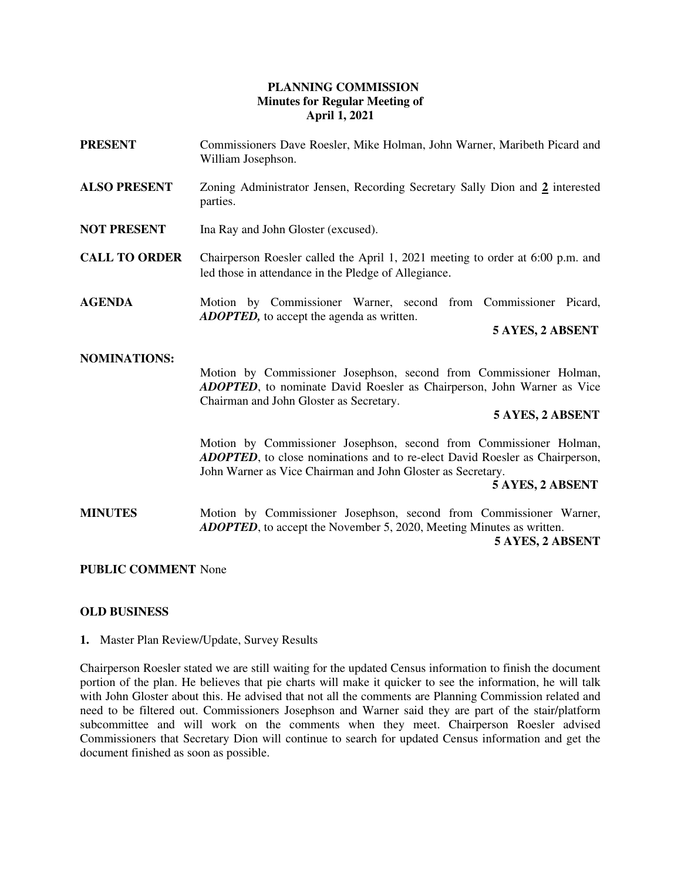# **PLANNING COMMISSION Minutes for Regular Meeting of April 1, 2021**

**PRESENT** Commissioners Dave Roesler, Mike Holman, John Warner, Maribeth Picard and William Josephson. **ALSO PRESENT** Zoning Administrator Jensen, Recording Secretary Sally Dion and **2** interested parties. **NOT PRESENT** Ina Ray and John Gloster (excused). **CALL TO ORDER** Chairperson Roesler called the April 1, 2021 meeting to order at 6:00 p.m. and led those in attendance in the Pledge of Allegiance. **AGENDA** Motion by Commissioner Warner, second from Commissioner Picard, *ADOPTED,* to accept the agenda as written. **5 AYES, 2 ABSENT NOMINATIONS:** Motion by Commissioner Josephson, second from Commissioner Holman, *ADOPTED*, to nominate David Roesler as Chairperson, John Warner as Vice Chairman and John Gloster as Secretary.  **5 AYES, 2 ABSENT** Motion by Commissioner Josephson, second from Commissioner Holman, *ADOPTED*, to close nominations and to re-elect David Roesler as Chairperson, John Warner as Vice Chairman and John Gloster as Secretary. **5 AYES, 2 ABSENT MINUTES** Motion by Commissioner Josephson, second from Commissioner Warner, *ADOPTED*, to accept the November 5, 2020, Meeting Minutes as written.

 **5 AYES, 2 ABSENT** 

## **PUBLIC COMMENT** None

## **OLD BUSINESS**

**1.** Master Plan Review/Update, Survey Results

Chairperson Roesler stated we are still waiting for the updated Census information to finish the document portion of the plan. He believes that pie charts will make it quicker to see the information, he will talk with John Gloster about this. He advised that not all the comments are Planning Commission related and need to be filtered out. Commissioners Josephson and Warner said they are part of the stair/platform subcommittee and will work on the comments when they meet. Chairperson Roesler advised Commissioners that Secretary Dion will continue to search for updated Census information and get the document finished as soon as possible.